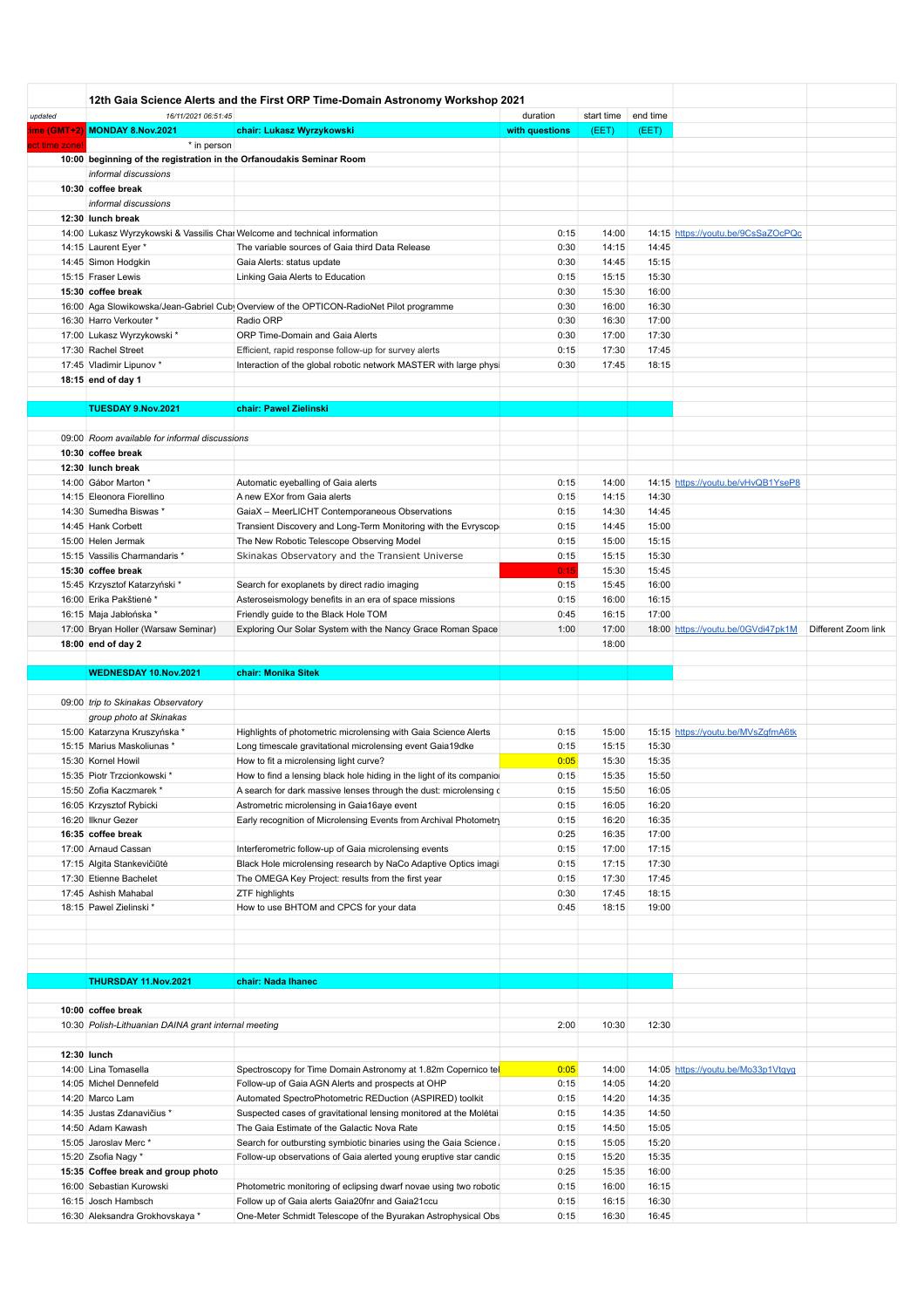|              | 12th Gaia Science Alerts and the First ORP Time-Domain Astronomy Workshop 2021 |                                                                                         |                |            |          |                                    |                     |
|--------------|--------------------------------------------------------------------------------|-----------------------------------------------------------------------------------------|----------------|------------|----------|------------------------------------|---------------------|
| updated      | 16/11/2021 06:51:45                                                            |                                                                                         | duration       | start time | end time |                                    |                     |
| me (GMT+2)   | MONDAY 8.Nov.2021                                                              | chair: Lukasz Wyrzykowski                                                               | with questions | (EET)      | (EET)    |                                    |                     |
| ct time zone | * in person                                                                    |                                                                                         |                |            |          |                                    |                     |
|              | 10:00 beginning of the registration in the Orfanoudakis Seminar Room           |                                                                                         |                |            |          |                                    |                     |
|              | informal discussions                                                           |                                                                                         |                |            |          |                                    |                     |
|              | 10:30 coffee break                                                             |                                                                                         |                |            |          |                                    |                     |
|              | informal discussions                                                           |                                                                                         |                |            |          |                                    |                     |
|              | 12:30 lunch break                                                              |                                                                                         |                |            |          |                                    |                     |
|              | 14:00 Lukasz Wyrzykowski & Vassilis Chai Welcome and technical information     |                                                                                         | 0:15           | 14:00      |          | 14:15 https://youtu.be/9CsSaZOcPQc |                     |
|              | 14:15 Laurent Eyer *                                                           | The variable sources of Gaia third Data Release                                         | 0:30           | 14:15      | 14:45    |                                    |                     |
|              | 14:45 Simon Hodgkin                                                            | Gaia Alerts: status update                                                              | 0:30           | 14:45      | 15:15    |                                    |                     |
|              | 15:15 Fraser Lewis                                                             | Linking Gaia Alerts to Education                                                        | 0:15           | 15:15      | 15:30    |                                    |                     |
|              | 15:30 coffee break                                                             |                                                                                         | 0:30           | 15:30      | 16:00    |                                    |                     |
|              |                                                                                | 16:00 Aga Slowikowska/Jean-Gabriel Cub Overview of the OPTICON-RadioNet Pilot programme | 0:30           | 16:00      | 16:30    |                                    |                     |
|              | 16:30 Harro Verkouter *                                                        | Radio ORP                                                                               | 0:30           | 16:30      | 17:00    |                                    |                     |
|              | 17:00 Lukasz Wyrzykowski                                                       | ORP Time-Domain and Gaia Alerts                                                         | 0:30           | 17:00      | 17:30    |                                    |                     |
|              | 17:30 Rachel Street                                                            | Efficient, rapid response follow-up for survey alerts                                   | 0:15           | 17:30      | 17:45    |                                    |                     |
|              | 17:45 Vladimir Lipunov *                                                       | Interaction of the global robotic network MASTER with large physi                       | 0:30           | 17:45      | 18:15    |                                    |                     |
|              | 18:15 end of day 1                                                             |                                                                                         |                |            |          |                                    |                     |
|              |                                                                                |                                                                                         |                |            |          |                                    |                     |
|              | TUESDAY 9.Nov.2021                                                             | chair: Pawel Zielinski                                                                  |                |            |          |                                    |                     |
|              | 09:00 Room available for informal discussions                                  |                                                                                         |                |            |          |                                    |                     |
|              | 10:30 coffee break                                                             |                                                                                         |                |            |          |                                    |                     |
|              | 12:30 lunch break                                                              |                                                                                         |                |            |          |                                    |                     |
|              | 14:00 Gábor Marton *                                                           | Automatic eyeballing of Gaia alerts                                                     | 0:15           | 14:00      |          | 14:15 https://youtu.be/vHvQB1YseP8 |                     |
|              | 14:15 Eleonora Fiorellino                                                      | A new EXor from Gaia alerts                                                             | 0:15           | 14:15      | 14:30    |                                    |                     |
|              | 14:30 Sumedha Biswas *                                                         | GaiaX - MeerLICHT Contemporaneous Observations                                          | 0:15           | 14:30      | 14:45    |                                    |                     |
|              | 14:45 Hank Corbett                                                             | Transient Discovery and Long-Term Monitoring with the Evryscop                          | 0:15           | 14:45      | 15:00    |                                    |                     |
|              | 15:00 Helen Jermak                                                             | The New Robotic Telescope Observing Model                                               | 0:15           | 15:00      | 15:15    |                                    |                     |
|              | 15:15 Vassilis Charmandaris *                                                  | Skinakas Observatory and the Transient Universe                                         | 0:15           | 15:15      | 15:30    |                                    |                     |
|              | 15:30 coffee break                                                             |                                                                                         | 0:15           | 15:30      | 15:45    |                                    |                     |
|              | 15:45 Krzysztof Katarzyński *                                                  | Search for exoplanets by direct radio imaging                                           | 0:15           | 15:45      | 16:00    |                                    |                     |
|              | 16:00 Erika Pakštienė*                                                         | Asteroseismology benefits in an era of space missions                                   | 0:15           | 16:00      | 16:15    |                                    |                     |
|              | 16:15 Maja Jabłońska*                                                          | Friendly guide to the Black Hole TOM                                                    | 0:45           | 16:15      | 17:00    |                                    |                     |
|              | 17:00 Bryan Holler (Warsaw Seminar)                                            | Exploring Our Solar System with the Nancy Grace Roman Space                             | 1:00           | 17:00      |          | 18:00 https://youtu.be/0GVdi47pk1M | Different Zoom link |
|              | 18:00 end of day 2                                                             |                                                                                         |                | 18:00      |          |                                    |                     |
|              |                                                                                |                                                                                         |                |            |          |                                    |                     |
|              | WEDNESDAY 10.Nov.2021                                                          | chair: Monika Sitek                                                                     |                |            |          |                                    |                     |
|              | 09:00 trip to Skinakas Observatory                                             |                                                                                         |                |            |          |                                    |                     |
|              | group photo at Skinakas                                                        |                                                                                         |                |            |          |                                    |                     |
|              | 15:00 Katarzyna Kruszyńska *                                                   | Highlights of photometric microlensing with Gaia Science Alerts                         | 0:15           | 15:00      |          | 15:15 https://youtu.be/MVsZgfmA6tk |                     |
|              | 15:15 Marius Maskoliunas *                                                     | Long timescale gravitational microlensing event Gaia19dke                               | 0:15           | 15:15      | 15:30    |                                    |                     |
|              | 15:30 Kornel Howil                                                             | How to fit a microlensing light curve?                                                  | 0:05           | 15:30      | 15:35    |                                    |                     |
|              | 15:35 Piotr Trzcionkowski *                                                    | How to find a lensing black hole hiding in the light of its companio                    | 0:15           | 15:35      | 15:50    |                                    |                     |
|              | 15:50 Zofia Kaczmarek *                                                        | A search for dark massive lenses through the dust: microlensing of                      | 0:15           | 15:50      | 16:05    |                                    |                     |
|              | 16:05 Krzysztof Rybicki                                                        | Astrometric microlensing in Gaia16aye event                                             | 0:15           | 16:05      | 16:20    |                                    |                     |
|              | 16:20 Ilknur Gezer                                                             | Early recognition of Microlensing Events from Archival Photometry                       | 0:15           | 16:20      | 16:35    |                                    |                     |
|              | 16:35 coffee break                                                             |                                                                                         | 0:25           | 16:35      | 17:00    |                                    |                     |
|              | 17:00 Arnaud Cassan                                                            | Interferometric follow-up of Gaia microlensing events                                   | 0:15           | 17:00      | 17:15    |                                    |                     |
|              | 17:15 Algita Stankevičiūtė                                                     | Black Hole microlensing research by NaCo Adaptive Optics imagi                          | 0:15           | 17:15      | 17:30    |                                    |                     |
|              | 17:30 Etienne Bachelet                                                         | The OMEGA Key Project: results from the first year                                      | 0:15           | 17:30      | 17:45    |                                    |                     |
|              | 17:45 Ashish Mahabal                                                           | <b>ZTF highlights</b>                                                                   | 0:30           | 17:45      | 18:15    |                                    |                     |
|              | 18:15 Pawel Zielinski *                                                        | How to use BHTOM and CPCS for your data                                                 | 0:45           | 18:15      | 19:00    |                                    |                     |
|              |                                                                                |                                                                                         |                |            |          |                                    |                     |
|              |                                                                                |                                                                                         |                |            |          |                                    |                     |
|              |                                                                                |                                                                                         |                |            |          |                                    |                     |
|              | THURSDAY 11.Nov.2021                                                           | chair: Nada Ihanec                                                                      |                |            |          |                                    |                     |
|              | 10:00 coffee break                                                             |                                                                                         |                |            |          |                                    |                     |
|              | 10:30 Polish-Lithuanian DAINA grant internal meeting                           |                                                                                         | 2:00           | 10:30      | 12:30    |                                    |                     |
|              |                                                                                |                                                                                         |                |            |          |                                    |                     |
| 12:30 lunch  |                                                                                |                                                                                         |                |            |          |                                    |                     |
|              | 14:00 Lina Tomasella                                                           | Spectroscopy for Time Domain Astronomy at 1.82m Copernico tel                           | 0:05           | 14:00      |          | 14:05 https://youtu.be/Mo33p1Vtqyq |                     |
|              | 14:05 Michel Dennefeld                                                         | Follow-up of Gaia AGN Alerts and prospects at OHP                                       | 0:15           | 14:05      | 14:20    |                                    |                     |
|              | 14:20 Marco Lam                                                                | Automated SpectroPhotometric REDuction (ASPIRED) toolkit                                | 0:15           | 14:20      | 14:35    |                                    |                     |
|              | 14:35 Justas Zdanavičius *                                                     | Suspected cases of gravitational lensing monitored at the Moletai                       | 0:15           | 14:35      | 14:50    |                                    |                     |
|              | 14:50 Adam Kawash                                                              | The Gaia Estimate of the Galactic Nova Rate                                             | 0:15           | 14:50      | 15:05    |                                    |                     |
|              | 15:05 Jaroslav Merc*                                                           | Search for outbursting symbiotic binaries using the Gaia Science.                       | 0:15           | 15:05      | 15:20    |                                    |                     |
|              | 15:20 Zsofia Nagy *                                                            | Follow-up observations of Gaia alerted young eruptive star candid                       | 0:15           | 15:20      | 15:35    |                                    |                     |
|              | 15:35 Coffee break and group photo                                             |                                                                                         | 0:25           | 15:35      | 16:00    |                                    |                     |
|              | 16:00 Sebastian Kurowski                                                       | Photometric monitoring of eclipsing dwarf novae using two robotic                       | 0:15           | 16:00      | 16:15    |                                    |                     |
|              |                                                                                |                                                                                         |                |            | 16:30    |                                    |                     |
|              | 16:15 Josch Hambsch                                                            | Follow up of Gaia alerts Gaia20fnr and Gaia21ccu                                        | 0:15           | 16:15      |          |                                    |                     |
|              | 16:30 Aleksandra Grokhovskaya *                                                | One-Meter Schmidt Telescope of the Byurakan Astrophysical Obs                           | 0:15           | 16:30      | 16:45    |                                    |                     |